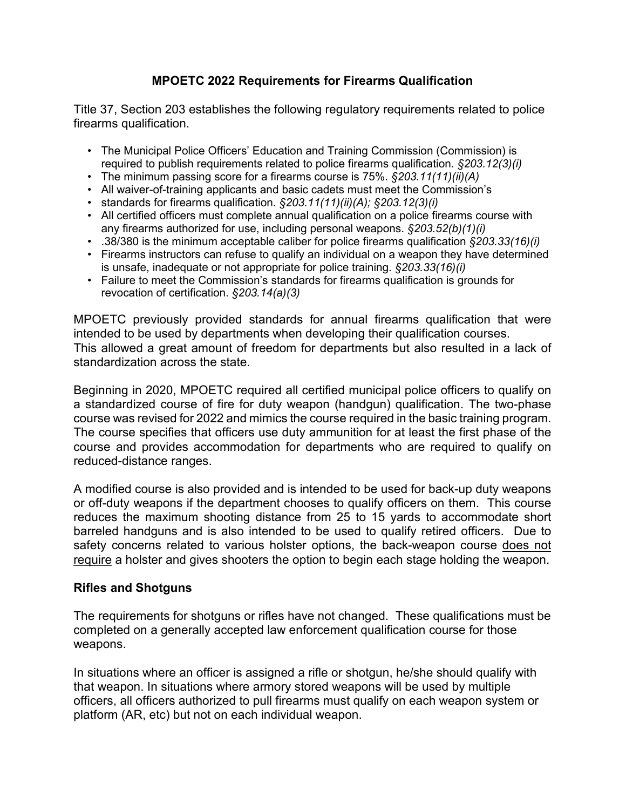# **MPOETC 2022 Requirements for Firearms Qualification**

Title 37, Section 203 establishes the following regulatory requirements related to police firearms qualification.

- The Municipal Police Officers' Education and Training Commission (Commission) is required to publish requirements related to police firearms qualification. *§203.12(3)(i)*
- The minimum passing score for a firearms course is 75%. *§203.11(11)(ii)(A)*
- All waiver-of-training applicants and basic cadets must meet the Commission's
- standards for firearms qualification. *§203.11(11)(ii)(A); §203.12(3)(i)*
- All certified officers must complete annual qualification on a police firearms course with any firearms authorized for use, including personal weapons. *§203.52(b)(1)(i)*
- .38/380 is the minimum acceptable caliber for police firearms qualification *§203.33(16)(i)*
- Firearms instructors can refuse to qualify an individual on a weapon they have determined is unsafe, inadequate or not appropriate for police training. *§203.33(16)(i)*
- Failure to meet the Commission's standards for firearms qualification is grounds for revocation of certification. *§203.14(a)(3)*

MPOETC previously provided standards for annual firearms qualification that were intended to be used by departments when developing their qualification courses. This allowed a great amount of freedom for departments but also resulted in a lack of standardization across the state.

Beginning in 2020, MPOETC required all certified municipal police officers to qualify on a standardized course of fire for duty weapon (handgun) qualification. The two-phase course was revised for 2022 and mimics the course required in the basic training program. The course specifies that officers use duty ammunition for at least the first phase of the course and provides accommodation for departments who are required to qualify on reduced-distance ranges.

A modified course is also provided and is intended to be used for back-up duty weapons or off-duty weapons if the department chooses to qualify officers on them. This course reduces the maximum shooting distance from 25 to 15 yards to accommodate short barreled handguns and is also intended to be used to qualify retired officers. Due to safety concerns related to various holster options, the back-weapon course does not require a holster and gives shooters the option to begin each stage holding the weapon.

### **Rifles and Shotguns**

The requirements for shotguns or rifles have not changed. These qualifications must be completed on a generally accepted law enforcement qualification course for those weapons.

In situations where an officer is assigned a rifle or shotgun, he/she should qualify with that weapon. In situations where armory stored weapons will be used by multiple officers, all officers authorized to pull firearms must qualify on each weapon system or platform (AR, etc) but not on each individual weapon.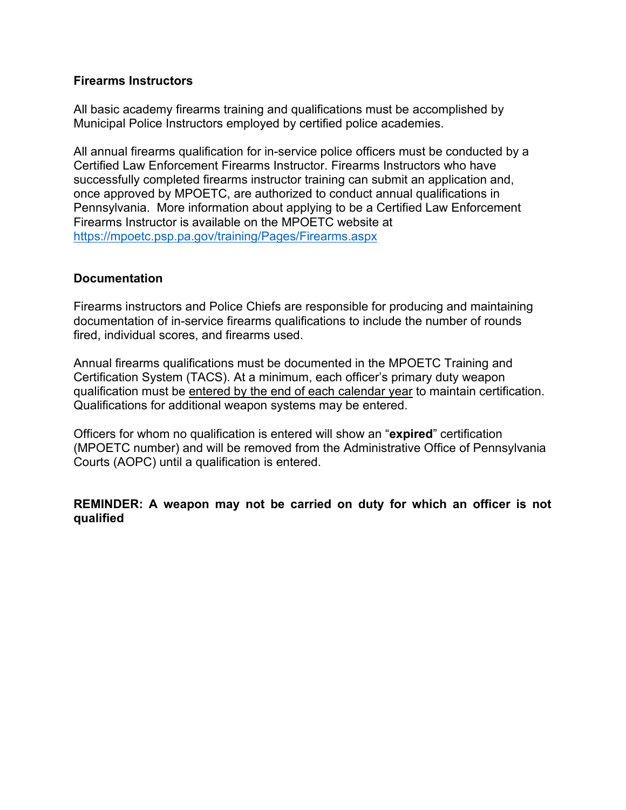### **Firearms Instructors**

All basic academy firearms training and qualifications must be accomplished by Municipal Police Instructors employed by certified police academies.

All annual firearms qualification for in-service police officers must be conducted by a Certified Law Enforcement Firearms Instructor. Firearms Instructors who have successfully completed firearms instructor training can submit an application and, once approved by MPOETC, are authorized to conduct annual qualifications in Pennsylvania. More information about applying to be a Certified Law Enforcement Firearms Instructor is available on the MPOETC website at <https://mpoetc.psp.pa.gov/training/Pages/Firearms.aspx>

## **Documentation**

Firearms instructors and Police Chiefs are responsible for producing and maintaining documentation of in-service firearms qualifications to include the number of rounds fired, individual scores, and firearms used.

Annual firearms qualifications must be documented in the MPOETC Training and Certification System (TACS). At a minimum, each officer's primary duty weapon qualification must be entered by the end of each calendar year to maintain certification. Qualifications for additional weapon systems may be entered.

Officers for whom no qualification is entered will show an "**expired**" certification (MPOETC number) and will be removed from the Administrative Office of Pennsylvania Courts (AOPC) until a qualification is entered.

**REMINDER: A weapon may not be carried on duty for which an officer is not qualified**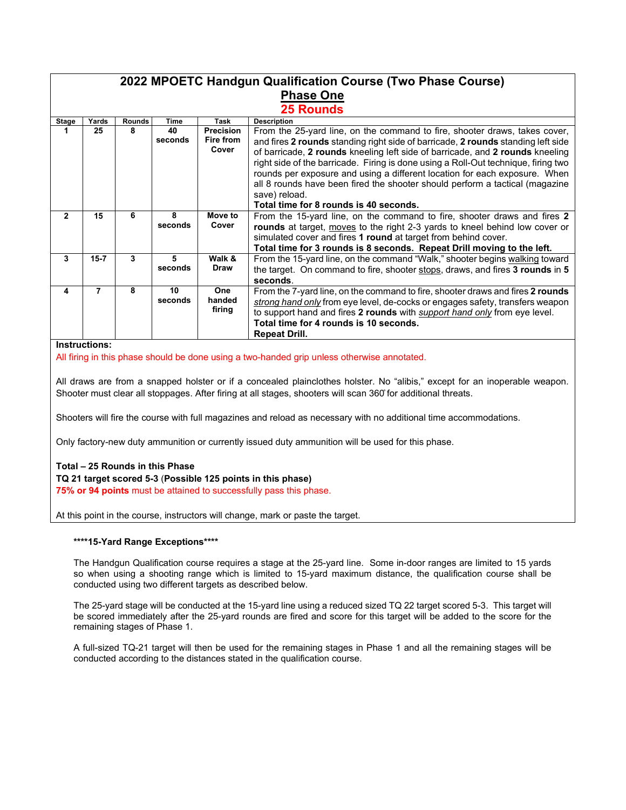#### **2022 MPOETC Handgun Qualification Course (Two Phase Course) Phase One 25 Rounds Stage Yards Rounds Time Task Description 1 25 8 40 seconds Precision Fire from Cover** From the 25-yard line, on the command to fire, shooter draws, takes cover, and fires **2 rounds** standing right side of barricade, **2 rounds** standing left side of barricade, **2 rounds** kneeling left side of barricade, and **2 rounds** kneeling right side of the barricade. Firing is done using a Roll-Out technique, firing two rounds per exposure and using a different location for each exposure. When all 8 rounds have been fired the shooter should perform a tactical (magazine save) reload. **Total time for 8 rounds is 40 seconds. 2 15 6 8 seconds Move to Cover** From the 15-yard line, on the command to fire, shooter draws and fires **2 rounds** at target, moves to the right 2-3 yards to kneel behind low cover or simulated cover and fires **1 round** at target from behind cover. **Total time for 3 rounds is 8 seconds. Repeat Drill moving to the left. 3 15-7 3 5 seconds Walk & Draw** From the 15-yard line, on the command "Walk," shooter begins walking toward the target. On command to fire, shooter stops, draws, and fires **3 rounds** in **5 seconds**. **4 7 8 10 seconds One handed firing** From the 7-yard line, on the command to fire, shooter draws and fires **2 rounds** *strong hand only* from eye level, de-cocks or engages safety, transfers weapon to support hand and fires **2 rounds** with *support hand only* from eye level. **Total time for 4 rounds is 10 seconds. Repeat Drill.**

#### **Instructions:**

All firing in this phase should be done using a two-handed grip unless otherwise annotated.

All draws are from a snapped holster or if a concealed plainclothes holster. No "alibis," except for an inoperable weapon. Shooter must clear all stoppages. After firing at all stages, shooters will scan 360̊for additional threats.

Shooters will fire the course with full magazines and reload as necessary with no additional time accommodations.

Only factory-new duty ammunition or currently issued duty ammunition will be used for this phase.

### **Total – 25 Rounds in this Phase**

#### **TQ 21 target scored 5-3** (**Possible 125 points in this phase)**

**75% or 94 points** must be attained to successfully pass this phase.

At this point in the course, instructors will change, mark or paste the target.

#### **\*\*\*\*15-Yard Range Exceptions\*\*\*\***

The Handgun Qualification course requires a stage at the 25-yard line. Some in-door ranges are limited to 15 yards so when using a shooting range which is limited to 15-yard maximum distance, the qualification course shall be conducted using two different targets as described below.

The 25-yard stage will be conducted at the 15-yard line using a reduced sized TQ 22 target scored 5-3. This target will be scored immediately after the 25-yard rounds are fired and score for this target will be added to the score for the remaining stages of Phase 1.

A full-sized TQ-21 target will then be used for the remaining stages in Phase 1 and all the remaining stages will be conducted according to the distances stated in the qualification course.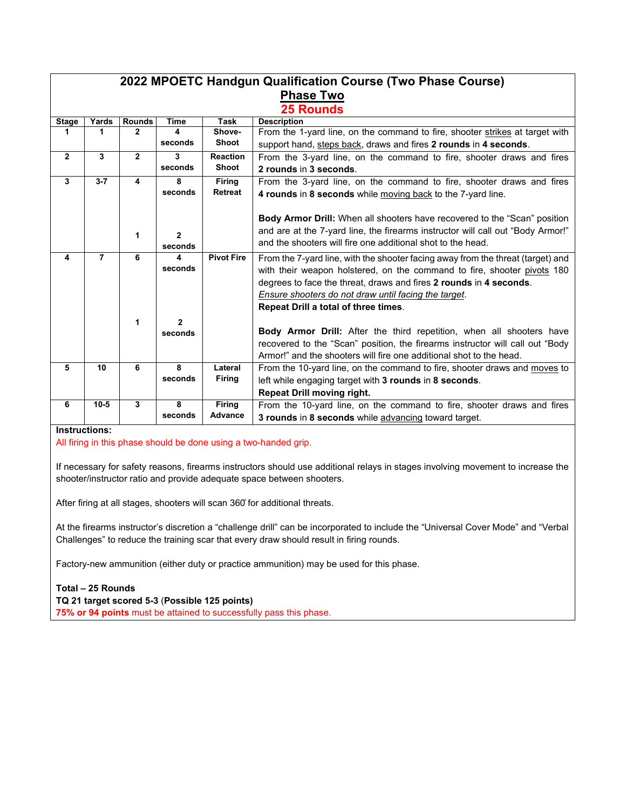| 2022 MPOETC Handgun Qualification Course (Two Phase Course) |                |                               |              |                       |                                                                                  |  |  |  |  |  |  |
|-------------------------------------------------------------|----------------|-------------------------------|--------------|-----------------------|----------------------------------------------------------------------------------|--|--|--|--|--|--|
| <b>Phase Two</b>                                            |                |                               |              |                       |                                                                                  |  |  |  |  |  |  |
|                                                             |                |                               |              |                       |                                                                                  |  |  |  |  |  |  |
| <b>25 Rounds</b>                                            |                |                               |              |                       |                                                                                  |  |  |  |  |  |  |
| <b>Stage</b>                                                | Yards          | <b>Rounds</b><br>$\mathbf{2}$ | <b>Time</b>  | <b>Task</b><br>Shove- | <b>Description</b>                                                               |  |  |  |  |  |  |
| 1                                                           | 1              |                               | 4            | Shoot                 | From the 1-yard line, on the command to fire, shooter strikes at target with     |  |  |  |  |  |  |
|                                                             |                |                               | seconds      |                       | support hand, steps back, draws and fires 2 rounds in 4 seconds.                 |  |  |  |  |  |  |
| $\overline{2}$                                              | 3              | $\overline{2}$                | 3            | <b>Reaction</b>       | From the 3-yard line, on the command to fire, shooter draws and fires            |  |  |  |  |  |  |
|                                                             |                |                               | seconds      | Shoot                 | 2 rounds in 3 seconds.                                                           |  |  |  |  |  |  |
| $\mathbf{3}$                                                | $3 - 7$        | 4                             | 8            | Firing                | From the 3-yard line, on the command to fire, shooter draws and fires            |  |  |  |  |  |  |
|                                                             |                |                               | seconds      | <b>Retreat</b>        | 4 rounds in 8 seconds while moving back to the 7-yard line.                      |  |  |  |  |  |  |
|                                                             |                |                               |              |                       |                                                                                  |  |  |  |  |  |  |
|                                                             |                |                               |              |                       | <b>Body Armor Drill:</b> When all shooters have recovered to the "Scan" position |  |  |  |  |  |  |
|                                                             |                |                               |              |                       | and are at the 7-yard line, the firearms instructor will call out "Body Armor!"  |  |  |  |  |  |  |
|                                                             |                | 1                             | $\mathbf{2}$ |                       | and the shooters will fire one additional shot to the head.                      |  |  |  |  |  |  |
|                                                             |                |                               | seconds      |                       |                                                                                  |  |  |  |  |  |  |
| 4                                                           | $\overline{7}$ | 6                             | 4            | <b>Pivot Fire</b>     | From the 7-yard line, with the shooter facing away from the threat (target) and  |  |  |  |  |  |  |
|                                                             |                |                               | seconds      |                       | with their weapon holstered, on the command to fire, shooter pivots 180          |  |  |  |  |  |  |
|                                                             |                |                               |              |                       | degrees to face the threat, draws and fires 2 rounds in 4 seconds.               |  |  |  |  |  |  |
|                                                             |                |                               |              |                       | Ensure shooters do not draw until facing the target.                             |  |  |  |  |  |  |
|                                                             |                |                               |              |                       | Repeat Drill a total of three times.                                             |  |  |  |  |  |  |
|                                                             |                |                               |              |                       |                                                                                  |  |  |  |  |  |  |
|                                                             |                | 1                             | $\mathbf{2}$ |                       |                                                                                  |  |  |  |  |  |  |
|                                                             |                |                               | seconds      |                       | <b>Body Armor Drill:</b> After the third repetition, when all shooters have      |  |  |  |  |  |  |
|                                                             |                |                               |              |                       | recovered to the "Scan" position, the firearms instructor will call out "Body    |  |  |  |  |  |  |
|                                                             |                |                               |              |                       | Armor!" and the shooters will fire one additional shot to the head.              |  |  |  |  |  |  |
| 5                                                           | 10             | 6                             | 8            | Lateral               | From the 10-yard line, on the command to fire, shooter draws and moves to        |  |  |  |  |  |  |
|                                                             |                |                               | seconds      | <b>Firing</b>         | left while engaging target with 3 rounds in 8 seconds.                           |  |  |  |  |  |  |
|                                                             |                |                               |              |                       | <b>Repeat Drill moving right.</b>                                                |  |  |  |  |  |  |
| 6                                                           | $10 - 5$       | 3                             | 8            | <b>Firing</b>         | From the 10-yard line, on the command to fire, shooter draws and fires           |  |  |  |  |  |  |
|                                                             |                |                               | seconds      | Advance               | 3 rounds in 8 seconds while advancing toward target.                             |  |  |  |  |  |  |
|                                                             |                |                               |              |                       |                                                                                  |  |  |  |  |  |  |

**Instructions:**

All firing in this phase should be done using a two-handed grip.

If necessary for safety reasons, firearms instructors should use additional relays in stages involving movement to increase the shooter/instructor ratio and provide adequate space between shooters.

After firing at all stages, shooters will scan 360̊for additional threats.

At the firearms instructor's discretion a "challenge drill" can be incorporated to include the "Universal Cover Mode" and "Verbal Challenges" to reduce the training scar that every draw should result in firing rounds.

Factory-new ammunition (either duty or practice ammunition) may be used for this phase.

**Total – 25 Rounds TQ 21 target scored 5-3** (**Possible 125 points) 75% or 94 points** must be attained to successfully pass this phase.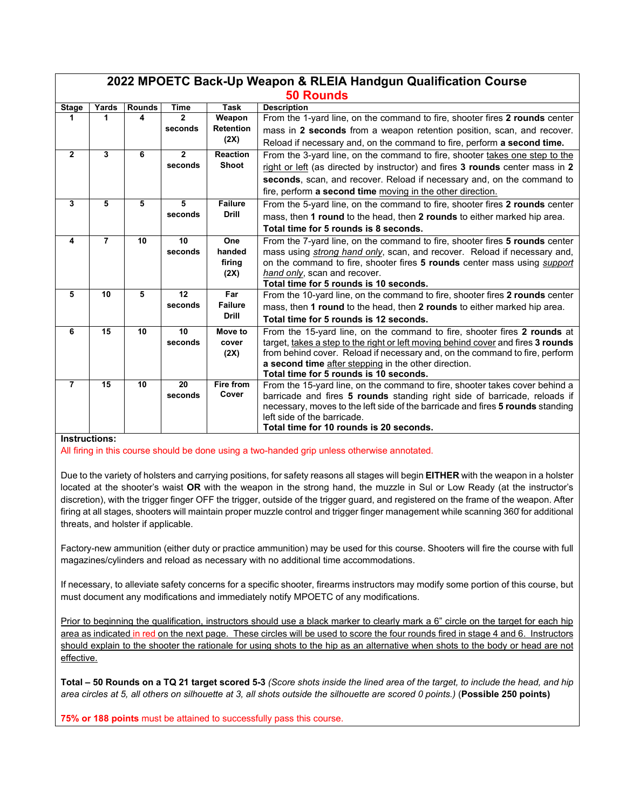| 2022 MPOETC Back-Up Weapon & RLEIA Handgun Qualification Course |                |               |               |                  |                                                                                                                                                             |  |  |  |  |
|-----------------------------------------------------------------|----------------|---------------|---------------|------------------|-------------------------------------------------------------------------------------------------------------------------------------------------------------|--|--|--|--|
| <b>50 Rounds</b>                                                |                |               |               |                  |                                                                                                                                                             |  |  |  |  |
| <b>Stage</b>                                                    | Yards          | <b>Rounds</b> | <b>Time</b>   | <b>Task</b>      | <b>Description</b>                                                                                                                                          |  |  |  |  |
| 1.                                                              | 1              | 4             | 2             | Weapon           | From the 1-yard line, on the command to fire, shooter fires 2 rounds center                                                                                 |  |  |  |  |
|                                                                 |                |               | seconds       | <b>Retention</b> | mass in 2 seconds from a weapon retention position, scan, and recover.                                                                                      |  |  |  |  |
|                                                                 |                |               |               | (2X)             | Reload if necessary and, on the command to fire, perform a second time.                                                                                     |  |  |  |  |
| $\mathbf{2}$                                                    | 3              | 6             | $\mathbf{2}$  | <b>Reaction</b>  | From the 3-yard line, on the command to fire, shooter takes one step to the                                                                                 |  |  |  |  |
|                                                                 |                |               | seconds       | Shoot            | right or left (as directed by instructor) and fires 3 rounds center mass in 2                                                                               |  |  |  |  |
|                                                                 |                |               |               |                  | seconds, scan, and recover. Reload if necessary and, on the command to                                                                                      |  |  |  |  |
|                                                                 |                |               |               |                  | fire, perform a second time moving in the other direction.                                                                                                  |  |  |  |  |
| $\mathbf{3}$                                                    | 5              | 5             | 5             | <b>Failure</b>   | From the 5-yard line, on the command to fire, shooter fires 2 rounds center                                                                                 |  |  |  |  |
|                                                                 |                |               | seconds       | <b>Drill</b>     | mass, then 1 round to the head, then 2 rounds to either marked hip area.                                                                                    |  |  |  |  |
|                                                                 |                |               |               |                  | Total time for 5 rounds is 8 seconds.                                                                                                                       |  |  |  |  |
| 4                                                               | $\overline{7}$ | 10            | 10<br>seconds | One<br>handed    | From the 7-yard line, on the command to fire, shooter fires 5 rounds center                                                                                 |  |  |  |  |
|                                                                 |                |               |               | firing           | mass using strong hand only, scan, and recover. Reload if necessary and,<br>on the command to fire, shooter fires 5 rounds center mass using <i>support</i> |  |  |  |  |
|                                                                 |                |               |               | (2X)             | hand only, scan and recover.                                                                                                                                |  |  |  |  |
|                                                                 |                |               |               |                  | Total time for 5 rounds is 10 seconds.                                                                                                                      |  |  |  |  |
| 5                                                               | 10             | 5             | 12            | Far              | From the 10-yard line, on the command to fire, shooter fires 2 rounds center                                                                                |  |  |  |  |
|                                                                 |                |               | seconds       | <b>Failure</b>   | mass, then 1 round to the head, then 2 rounds to either marked hip area.                                                                                    |  |  |  |  |
|                                                                 |                |               |               | <b>Drill</b>     | Total time for 5 rounds is 12 seconds.                                                                                                                      |  |  |  |  |
| 6                                                               | 15             | 10            | 10            | Move to          | From the 15-yard line, on the command to fire, shooter fires 2 rounds at                                                                                    |  |  |  |  |
|                                                                 |                |               | seconds       | cover            | target, takes a step to the right or left moving behind cover and fires 3 rounds                                                                            |  |  |  |  |
|                                                                 |                |               |               | (2X)             | from behind cover. Reload if necessary and, on the command to fire, perform                                                                                 |  |  |  |  |
|                                                                 |                |               |               |                  | a second time after stepping in the other direction.<br>Total time for 5 rounds is 10 seconds.                                                              |  |  |  |  |
| $\overline{7}$                                                  | 15             | 10            | 20            | Fire from        | From the 15-yard line, on the command to fire, shooter takes cover behind a                                                                                 |  |  |  |  |
|                                                                 |                |               | seconds       | Cover            | barricade and fires 5 rounds standing right side of barricade, reloads if                                                                                   |  |  |  |  |
|                                                                 |                |               |               |                  | necessary, moves to the left side of the barricade and fires 5 rounds standing                                                                              |  |  |  |  |
|                                                                 |                |               |               |                  | left side of the barricade.                                                                                                                                 |  |  |  |  |
|                                                                 |                |               |               |                  | Total time for 10 rounds is 20 seconds.                                                                                                                     |  |  |  |  |

### **Instructions:**

All firing in this course should be done using a two-handed grip unless otherwise annotated.

Due to the variety of holsters and carrying positions, for safety reasons all stages will begin **EITHER** with the weapon in a holster located at the shooter's waist **OR** with the weapon in the strong hand, the muzzle in Sul or Low Ready (at the instructor's discretion), with the trigger finger OFF the trigger, outside of the trigger guard, and registered on the frame of the weapon. After firing at all stages, shooters will maintain proper muzzle control and trigger finger management while scanning 360° for additional threats, and holster if applicable.

Factory-new ammunition (either duty or practice ammunition) may be used for this course. Shooters will fire the course with full magazines/cylinders and reload as necessary with no additional time accommodations.

If necessary, to alleviate safety concerns for a specific shooter, firearms instructors may modify some portion of this course, but must document any modifications and immediately notify MPOETC of any modifications.

Prior to beginning the qualification, instructors should use a black marker to clearly mark a 6" circle on the target for each hip area as indicated in red on the next page. These circles will be used to score the four rounds fired in stage 4 and 6. Instructors should explain to the shooter the rationale for using shots to the hip as an alternative when shots to the body or head are not effective.

**Total – 50 Rounds on a TQ 21 target scored 5-3** *(Score shots inside the lined area of the target, to include the head, and hip area circles at 5, all others on silhouette at 3, all shots outside the silhouette are scored 0 points.)* (**Possible 250 points)**

**75% or 188 points** must be attained to successfully pass this course.